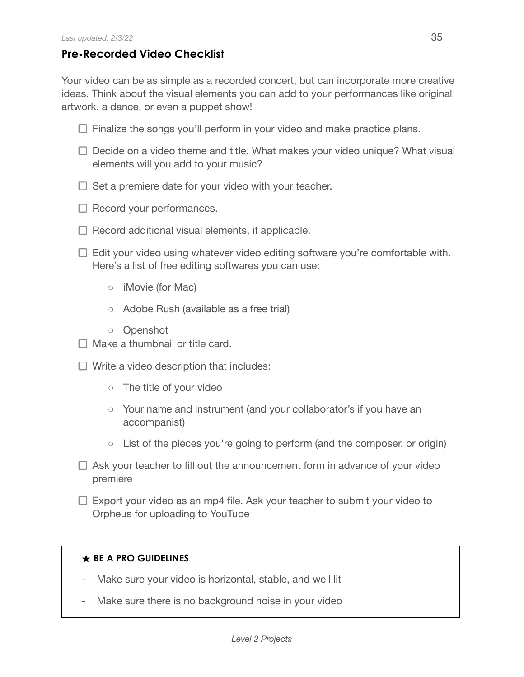## **Pre-Recorded Video Checklist**

Your video can be as simple as a recorded concert, but can incorporate more creative ideas. Think about the visual elements you can add to your performances like original artwork, a dance, or even a puppet show!

- $\Box$  Finalize the songs you'll perform in your video and make practice plans.
- $\Box$  Decide on a video theme and title. What makes your video unique? What visual elements will you add to your music?
- $\Box$  Set a premiere date for your video with your teacher.
- $\Box$  Record your performances.
- $\Box$  Record additional visual elements, if applicable.
- $\Box$  Edit your video using whatever video editing software you're comfortable with. Here's a list of free editing softwares you can use:
	- iMovie (for Mac)
	- Adobe Rush (available as a free trial)
	- Openshot
- $\Box$  Make a thumbnail or title card.
- $\Box$  Write a video description that includes:
	- The title of your video
	- Your name and instrument (and your collaborator's if you have an accompanist)
	- $\circ$  List of the pieces you're going to perform (and the composer, or origin)
- $\Box$  Ask your teacher to fill out the announcement form in advance of your video premiere
- $\Box$  Export your video as an mp4 file. Ask your teacher to submit your video to Orpheus for uploading to YouTube

## **★ BE A PRO GUIDELINES**

- Make sure your video is horizontal, stable, and well lit
- Make sure there is no background noise in your video